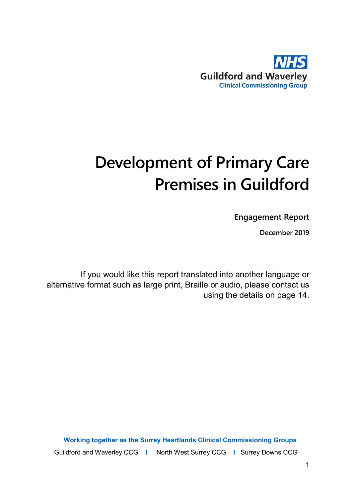

# **Development of Primary Care Premises in Guildford**

**Engagement Report**

**December 2019**

If you would like this report translated into another language or alternative format such as large print, Braille or audio, please contact us using the details on page 14.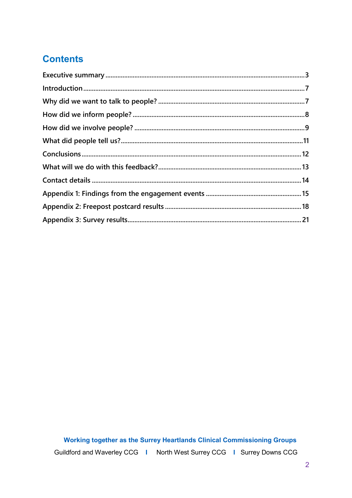# **Contents**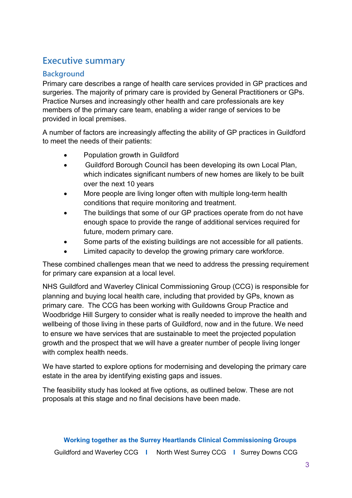# <span id="page-2-0"></span>**Executive summary**

## **Background**

Primary care describes a range of health care services provided in GP practices and surgeries. The majority of primary care is provided by General Practitioners or GPs. Practice Nurses and increasingly other health and care professionals are key members of the primary care team, enabling a wider range of services to be provided in local premises.

A number of factors are increasingly affecting the ability of GP practices in Guildford to meet the needs of their patients:

- Population growth in Guildford
- Guildford Borough Council has been developing its own Local Plan, which indicates significant numbers of new homes are likely to be built over the next 10 years
- More people are living longer often with multiple long-term health conditions that require monitoring and treatment.
- The buildings that some of our GP practices operate from do not have enough space to provide the range of additional services required for future, modern primary care.
- Some parts of the existing buildings are not accessible for all patients.
- Limited capacity to develop the growing primary care workforce.

These combined challenges mean that we need to address the pressing requirement for primary care expansion at a local level.

NHS Guildford and Waverley Clinical Commissioning Group (CCG) is responsible for planning and buying local health care, including that provided by GPs, known as primary care. The CCG has been working with Guildowns Group Practice and Woodbridge Hill Surgery to consider what is really needed to improve the health and wellbeing of those living in these parts of Guildford, now and in the future. We need to ensure we have services that are sustainable to meet the projected population growth and the prospect that we will have a greater number of people living longer with complex health needs.

We have started to explore options for modernising and developing the primary care estate in the area by identifying existing gaps and issues.

The feasibility study has looked at five options, as outlined below. These are not proposals at this stage and no final decisions have been made.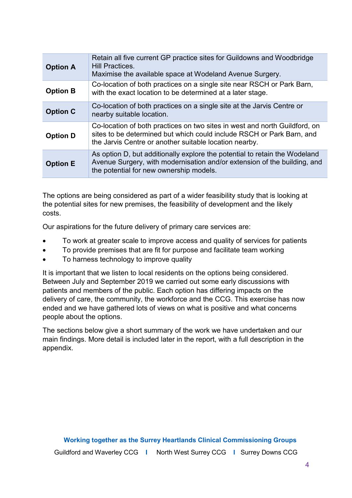| <b>Option A</b> | Retain all five current GP practice sites for Guildowns and Woodbridge<br>Hill Practices.<br>Maximise the available space at Wodeland Avenue Surgery.                                                         |
|-----------------|---------------------------------------------------------------------------------------------------------------------------------------------------------------------------------------------------------------|
| <b>Option B</b> | Co-location of both practices on a single site near RSCH or Park Barn,<br>with the exact location to be determined at a later stage.                                                                          |
| <b>Option C</b> | Co-location of both practices on a single site at the Jarvis Centre or<br>nearby suitable location.                                                                                                           |
| <b>Option D</b> | Co-location of both practices on two sites in west and north Guildford, on<br>sites to be determined but which could include RSCH or Park Barn, and<br>the Jarvis Centre or another suitable location nearby. |
| <b>Option E</b> | As option D, but additionally explore the potential to retain the Wodeland<br>Avenue Surgery, with modernisation and/or extension of the building, and<br>the potential for new ownership models.             |

The options are being considered as part of a wider feasibility study that is looking at the potential sites for new premises, the feasibility of development and the likely costs.

Our aspirations for the future delivery of primary care services are:

- To work at greater scale to improve access and quality of services for patients
- To provide premises that are fit for purpose and facilitate team working
- To harness technology to improve quality

It is important that we listen to local residents on the options being considered. Between July and September 2019 we carried out some early discussions with patients and members of the public. Each option has differing impacts on the delivery of care, the community, the workforce and the CCG. This exercise has now ended and we have gathered lots of views on what is positive and what concerns people about the options.

The sections below give a short summary of the work we have undertaken and our main findings. More detail is included later in the report, with a full description in the appendix.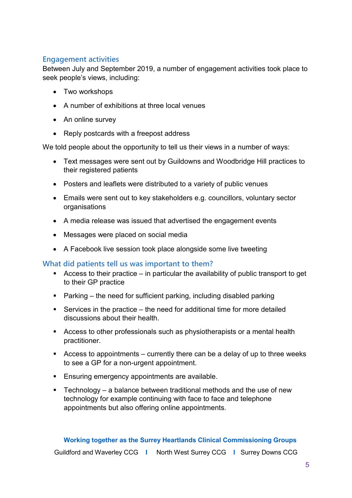# **Engagement activities**

Between July and September 2019, a number of engagement activities took place to seek people's views, including:

- Two workshops
- A number of exhibitions at three local venues
- An online survey
- Reply postcards with a freepost address

We told people about the opportunity to tell us their views in a number of ways:

- Text messages were sent out by Guildowns and Woodbridge Hill practices to their registered patients
- Posters and leaflets were distributed to a variety of public venues
- Emails were sent out to key stakeholders e.g. councillors, voluntary sector organisations
- A media release was issued that advertised the engagement events
- Messages were placed on social media
- A Facebook live session took place alongside some live tweeting

# **What did patients tell us was important to them?**

- Access to their practice  $-$  in particular the availability of public transport to get to their GP practice
- Parking the need for sufficient parking, including disabled parking
- Services in the practice the need for additional time for more detailed discussions about their health.
- Access to other professionals such as physiotherapists or a mental health practitioner.
- Access to appointments  $-$  currently there can be a delay of up to three weeks to see a GP for a non-urgent appointment.
- **Ensuring emergency appointments are available.**
- **Technology** a balance between traditional methods and the use of new technology for example continuing with face to face and telephone appointments but also offering online appointments.

Guildford and Waverley CCG **I** North West Surrey CCG **I** Surrey Downs CCG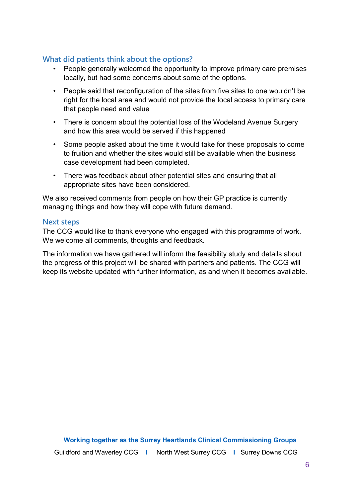# **What did patients think about the options?**

- People generally welcomed the opportunity to improve primary care premises locally, but had some concerns about some of the options.
- People said that reconfiguration of the sites from five sites to one wouldn't be right for the local area and would not provide the local access to primary care that people need and value
- There is concern about the potential loss of the Wodeland Avenue Surgery and how this area would be served if this happened
- Some people asked about the time it would take for these proposals to come to fruition and whether the sites would still be available when the business case development had been completed.
- There was feedback about other potential sites and ensuring that all appropriate sites have been considered.

We also received comments from people on how their GP practice is currently managing things and how they will cope with future demand.

## **Next steps**

The CCG would like to thank everyone who engaged with this programme of work. We welcome all comments, thoughts and feedback.

The information we have gathered will inform the feasibility study and details about the progress of this project will be shared with partners and patients. The CCG will keep its website updated with further information, as and when it becomes available.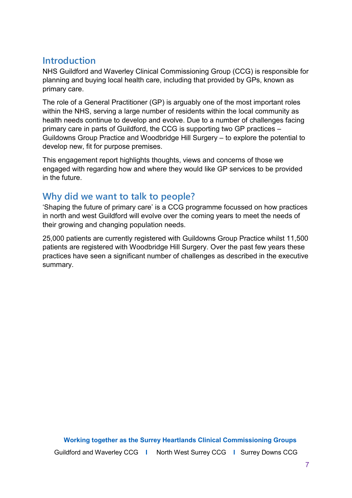# <span id="page-6-0"></span>**Introduction**

NHS Guildford and Waverley Clinical Commissioning Group (CCG) is responsible for planning and buying local health care, including that provided by GPs, known as primary care.

The role of a General Practitioner (GP) is arguably one of the most important roles within the NHS, serving a large number of residents within the local community as health needs continue to develop and evolve. Due to a number of challenges facing primary care in parts of Guildford, the CCG is supporting two GP practices – Guildowns Group Practice and Woodbridge Hill Surgery – to explore the potential to develop new, fit for purpose premises.

This engagement report highlights thoughts, views and concerns of those we engaged with regarding how and where they would like GP services to be provided in the future.

# <span id="page-6-1"></span>**Why did we want to talk to people?**

'Shaping the future of primary care' is a CCG programme focussed on how practices in north and west Guildford will evolve over the coming years to meet the needs of their growing and changing population needs.

25,000 patients are currently registered with Guildowns Group Practice whilst 11,500 patients are registered with Woodbridge Hill Surgery. Over the past few years these practices have seen a significant number of challenges as described in the executive summary.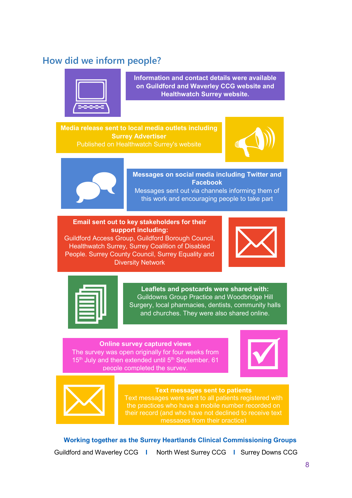# <span id="page-7-0"></span>**How did we inform people?**



**Information and contact details were available**  Information and contact details were available<br>on Guildford and Waverley CCG website and<br>Healthwatch Surrey website.<br>**CHEADTER SURFER AND READ TO A READ PARTIES** 

**Media release sent to local media outlets including Surrey Advertiser** a release sent to local media outlets including<br>
Surrey Advertiser<br>
Published on Healthwatch Surrey's website<br>
The Market Surrey's website





 **Messages on social media including Twitter and Facebook** Messages sent out via channels informing them of this work and encouraging people to take part

#### **Email sent out to key stakeholders for their support including:**

Guildford Access Group, Guildford Borough Council, Healthwatch Surrey, Surrey Coalition of Disabled People. Surrey County Council, Surrey Equality and Diversity Network





**Leaflets and postcards were shared with:**<br>Guildowns Group Practice and Woodbridge H<br>Surgery, local pharmacies, dentists, community l<br>and churches. They were also shared online Guildowns Group Practice and Woodbridge Hill Surgery, local pharmacies, dentists, community halls and churches. They were also shared online.

#### **Online survey captured views** The survey was open originally for four weeks from  $15<sup>th</sup>$  July and then extended until  $5<sup>th</sup>$  September. 61 people completed the survey.





Text messages sent to patients<br>
Text messages were sent to all patients regi<br>
the practices who have a mobile number re<br>
their record (and who have not declined to re<br>
messages from their practice) Text messages were sent to all patients registered with the practices who have a mobile number recorded on their record (and who have not declined to receive text messages from their practice)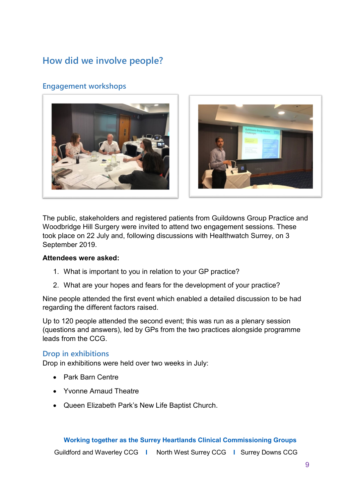# <span id="page-8-0"></span>**How did we involve people?**

# **Engagement workshops**





The public, stakeholders and registered patients from Guildowns Group Practice and Woodbridge Hill Surgery were invited to attend two engagement sessions. These took place on 22 July and, following discussions with Healthwatch Surrey, on 3 September 2019.

#### **Attendees were asked:**

- 1. What is important to you in relation to your GP practice?
- 2. What are your hopes and fears for the development of your practice?

Nine people attended the first event which enabled a detailed discussion to be had regarding the different factors raised.

Up to 120 people attended the second event; this was run as a plenary session (questions and answers), led by GPs from the two practices alongside programme leads from the CCG.

## **Drop in exhibitions**

Drop in exhibitions were held over two weeks in July:

- Park Barn Centre
- Yvonne Arnaud Theatre
- Queen Elizabeth Park's New Life Baptist Church.

#### **Working together as the Surrey Heartlands Clinical Commissioning Groups**

Guildford and Waverley CCG **I** North West Surrey CCG **I** Surrey Downs CCG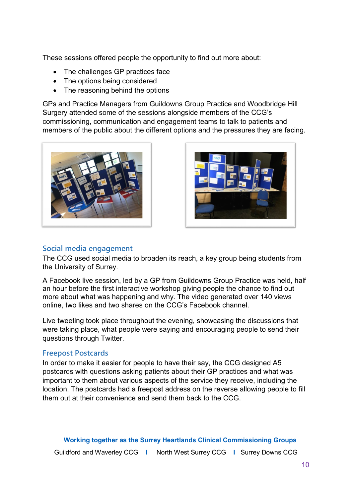These sessions offered people the opportunity to find out more about:

- The challenges GP practices face
- The options being considered
- The reasoning behind the options

GPs and Practice Managers from Guildowns Group Practice and Woodbridge Hill Surgery attended some of the sessions alongside members of the CCG's commissioning, communication and engagement teams to talk to patients and members of the public about the different options and the pressures they are facing.





## **Social media engagement**

The CCG used social media to broaden its reach, a key group being students from the University of Surrey.

A Facebook live session, led by a GP from Guildowns Group Practice was held, half an hour before the first interactive workshop giving people the chance to find out more about what was happening and why. The video generated over 140 views online, two likes and two shares on the CCG's Facebook channel.

Live tweeting took place throughout the evening, showcasing the discussions that were taking place, what people were saying and encouraging people to send their questions through Twitter.

#### **Freepost Postcards**

In order to make it easier for people to have their say, the CCG designed A5 postcards with questions asking patients about their GP practices and what was important to them about various aspects of the service they receive, including the location. The postcards had a freepost address on the reverse allowing people to fill them out at their convenience and send them back to the CCG.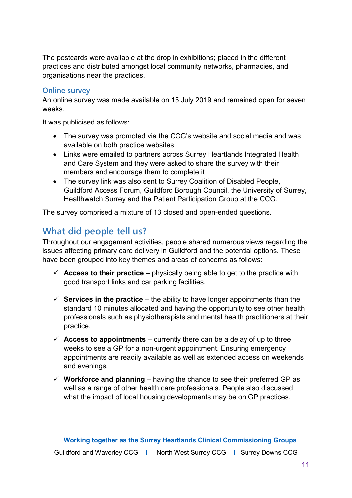The postcards were available at the drop in exhibitions; placed in the different practices and distributed amongst local community networks, pharmacies, and organisations near the practices.

## **Online survey**

An online survey was made available on 15 July 2019 and remained open for seven weeks.

It was publicised as follows:

- The survey was promoted via the CCG's website and social media and was available on both practice websites
- Links were emailed to partners across Surrey Heartlands Integrated Health and Care System and they were asked to share the survey with their members and encourage them to complete it
- The survey link was also sent to Surrey Coalition of Disabled People, Guildford Access Forum, Guildford Borough Council, the University of Surrey, Healthwatch Surrey and the Patient Participation Group at the CCG.

The survey comprised a mixture of 13 closed and open-ended questions.

# <span id="page-10-0"></span>**What did people tell us?**

Throughout our engagement activities, people shared numerous views regarding the issues affecting primary care delivery in Guildford and the potential options. These have been grouped into key themes and areas of concerns as follows:

- $\checkmark$  **Access to their practice** physically being able to get to the practice with good transport links and car parking facilities.
- $\checkmark$  **Services in the practice** the ability to have longer appointments than the standard 10 minutes allocated and having the opportunity to see other health professionals such as physiotherapists and mental health practitioners at their practice.
- $\checkmark$  **Access to appointments** currently there can be a delay of up to three weeks to see a GP for a non-urgent appointment. Ensuring emergency appointments are readily available as well as extended access on weekends and evenings.
- $\checkmark$  Workforce and planning having the chance to see their preferred GP as well as a range of other health care professionals. People also discussed what the impact of local housing developments may be on GP practices.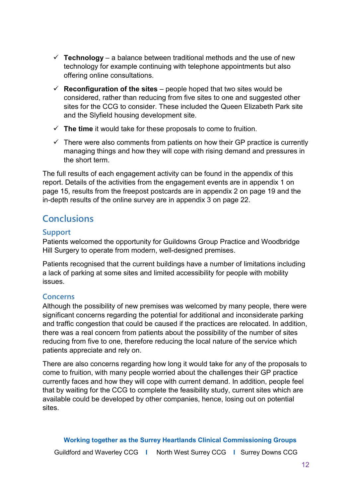- $\checkmark$  Technology a balance between traditional methods and the use of new technology for example continuing with telephone appointments but also offering online consultations.
- $\checkmark$  **Reconfiguration of the sites** people hoped that two sites would be considered, rather than reducing from five sites to one and suggested other sites for the CCG to consider. These included the Queen Elizabeth Park site and the Slyfield housing development site.
- **The time** it would take for these proposals to come to fruition.
- $\checkmark$  There were also comments from patients on how their GP practice is currently managing things and how they will cope with rising demand and pressures in the short term.

The full results of each engagement activity can be found in the appendix of this report. Details of the activities from the engagement events are in appendix 1 on page 15, results from the freepost postcards are in appendix 2 on page 19 and the in-depth results of the online survey are in appendix 3 on page 22.

# <span id="page-11-0"></span>**Conclusions**

# **Support**

Patients welcomed the opportunity for Guildowns Group Practice and Woodbridge Hill Surgery to operate from modern, well-designed premises.

Patients recognised that the current buildings have a number of limitations including a lack of parking at some sites and limited accessibility for people with mobility issues.

# **Concerns**

Although the possibility of new premises was welcomed by many people, there were significant concerns regarding the potential for additional and inconsiderate parking and traffic congestion that could be caused if the practices are relocated. In addition, there was a real concern from patients about the possibility of the number of sites reducing from five to one, therefore reducing the local nature of the service which patients appreciate and rely on.

There are also concerns regarding how long it would take for any of the proposals to come to fruition, with many people worried about the challenges their GP practice currently faces and how they will cope with current demand. In addition, people feel that by waiting for the CCG to complete the feasibility study, current sites which are available could be developed by other companies, hence, losing out on potential sites.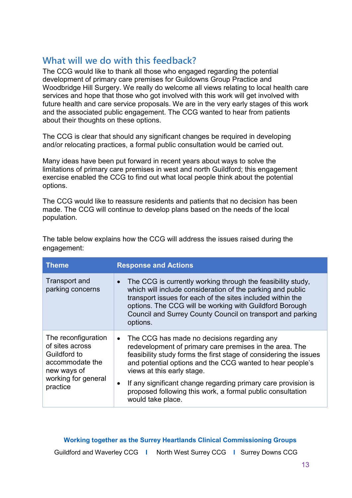# <span id="page-12-0"></span>**What will we do with this feedback?**

The CCG would like to thank all those who engaged regarding the potential development of primary care premises for Guildowns Group Practice and Woodbridge Hill Surgery. We really do welcome all views relating to local health care services and hope that those who got involved with this work will get involved with future health and care service proposals. We are in the very early stages of this work and the associated public engagement. The CCG wanted to hear from patients about their thoughts on these options.

The CCG is clear that should any significant changes be required in developing and/or relocating practices, a formal public consultation would be carried out.

Many ideas have been put forward in recent years about ways to solve the limitations of primary care premises in west and north Guildford; this engagement exercise enabled the CCG to find out what local people think about the potential options.

The CCG would like to reassure residents and patients that no decision has been made. The CCG will continue to develop plans based on the needs of the local population.

| <b>Theme</b>                                                                                                                | <b>Response and Actions</b>                                                                                                                                                                                                                                                                                                                                                                                                                          |  |  |  |  |  |
|-----------------------------------------------------------------------------------------------------------------------------|------------------------------------------------------------------------------------------------------------------------------------------------------------------------------------------------------------------------------------------------------------------------------------------------------------------------------------------------------------------------------------------------------------------------------------------------------|--|--|--|--|--|
| <b>Transport and</b><br>parking concerns                                                                                    | The CCG is currently working through the feasibility study,<br>$\bullet$<br>which will include consideration of the parking and public<br>transport issues for each of the sites included within the<br>options. The CCG will be working with Guildford Borough<br>Council and Surrey County Council on transport and parking<br>options.                                                                                                            |  |  |  |  |  |
| The reconfiguration<br>of sites across<br>Guildford to<br>accommodate the<br>new ways of<br>working for general<br>practice | The CCG has made no decisions regarding any<br>$\bullet$<br>redevelopment of primary care premises in the area. The<br>feasibility study forms the first stage of considering the issues<br>and potential options and the CCG wanted to hear people's<br>views at this early stage.<br>If any significant change regarding primary care provision is<br>$\bullet$<br>proposed following this work, a formal public consultation<br>would take place. |  |  |  |  |  |

The table below explains how the CCG will address the issues raised during the engagement: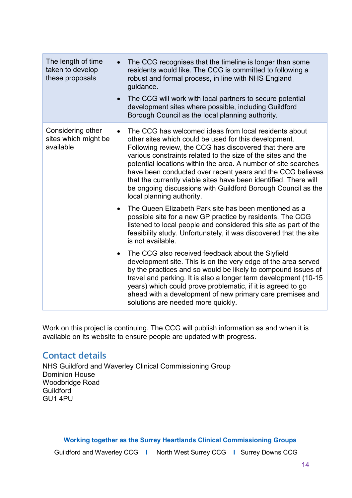| The length of time<br>taken to develop<br>these proposals | The CCG recognises that the timeline is longer than some<br>$\bullet$<br>residents would like. The CCG is committed to following a<br>robust and formal process, in line with NHS England<br>guidance.<br>The CCG will work with local partners to secure potential<br>$\bullet$<br>development sites where possible, including Guildford<br>Borough Council as the local planning authority.                                                                                                                                                           |
|-----------------------------------------------------------|---------------------------------------------------------------------------------------------------------------------------------------------------------------------------------------------------------------------------------------------------------------------------------------------------------------------------------------------------------------------------------------------------------------------------------------------------------------------------------------------------------------------------------------------------------|
| Considering other<br>sites which might be<br>available    | The CCG has welcomed ideas from local residents about<br>$\bullet$<br>other sites which could be used for this development.<br>Following review, the CCG has discovered that there are<br>various constraints related to the size of the sites and the<br>potential locations within the area. A number of site searches<br>have been conducted over recent years and the CCG believes<br>that the currently viable sites have been identified. There will<br>be ongoing discussions with Guildford Borough Council as the<br>local planning authority. |
|                                                           | The Queen Elizabeth Park site has been mentioned as a<br>possible site for a new GP practice by residents. The CCG<br>listened to local people and considered this site as part of the<br>feasibility study. Unfortunately, it was discovered that the site<br>is not available.                                                                                                                                                                                                                                                                        |
|                                                           | The CCG also received feedback about the Slyfield<br>$\bullet$<br>development site. This is on the very edge of the area served<br>by the practices and so would be likely to compound issues of<br>travel and parking. It is also a longer term development (10-15<br>years) which could prove problematic, if it is agreed to go<br>ahead with a development of new primary care premises and<br>solutions are needed more quickly.                                                                                                                   |

Work on this project is continuing. The CCG will publish information as and when it is available on its website to ensure people are updated with progress.

# <span id="page-13-0"></span>**Contact details**

NHS Guildford and Waverley Clinical Commissioning Group Dominion House Woodbridge Road Guildford GU1 4PU

**Working together as the Surrey Heartlands Clinical Commissioning Groups**

Guildford and Waverley CCG **I** North West Surrey CCG **I** Surrey Downs CCG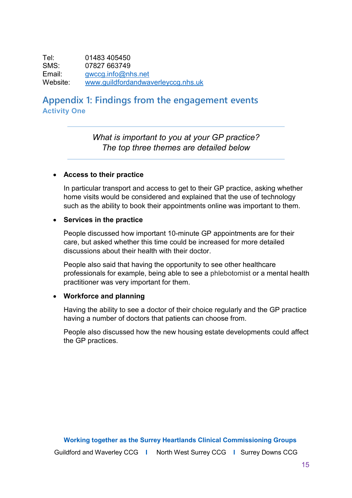Tel: 01483 405450 SMS: 07827 663749<br>Email: gwccg.info@nl [gwccg.info@nhs.net](mailto:gwccg.info@nhs.net) Website: [www.guildfordandwaverleyccg.nhs.uk](http://www.guildfordandwaverleyccg.nhs.uk/)

# <span id="page-14-0"></span>**Appendix 1: Findings from the engagement events Activity One**

*What is important to you at your GP practice? The top three themes are detailed below*

#### • **Access to their practice**

In particular transport and access to get to their GP practice, asking whether home visits would be considered and explained that the use of technology such as the ability to book their appointments online was important to them.

#### • **Services in the practice**

People discussed how important 10-minute GP appointments are for their care, but asked whether this time could be increased for more detailed discussions about their health with their doctor.

People also said that having the opportunity to see other healthcare professionals for example, being able to see a phlebotomist or a mental health practitioner was very important for them.

#### • **Workforce and planning**

Having the ability to see a doctor of their choice regularly and the GP practice having a number of doctors that patients can choose from.

People also discussed how the new housing estate developments could affect the GP practices.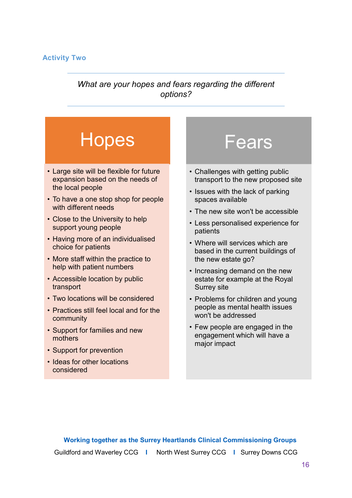## **Activity Two**

# *What are your hopes and fears regarding the different options?*

# **Hopes**

- Large site will be flexible for future expansion based on the needs of the local people
- To have a one stop shop for people with different needs
- Close to the University to help support young people
- Having more of an individualised choice for patients
- More staff within the practice to help with patient numbers
- Accessible location by public transport
- Two locations will be considered
- Practices still feel local and for the community
- Support for families and new mothers
- Support for prevention
- Ideas for other locations considered

# **Fears**

- Challenges with getting public transport to the new proposed site
- Issues with the lack of parking spaces available
- The new site won't be accessible
- Less personalised experience for patients
- Where will services which are based in the current buildings of the new estate go?
- Increasing demand on the new estate for example at the Royal Surrey site
- Problems for children and young people as mental health issues won't be addressed
- Few people are engaged in the engagement which will have a major impact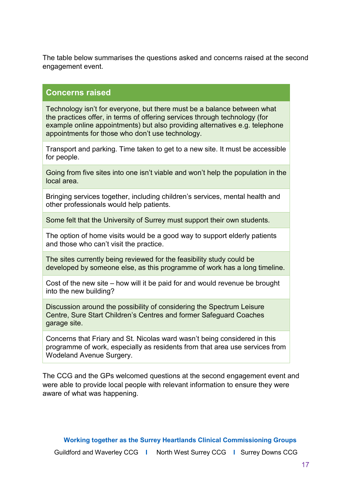The table below summarises the questions asked and concerns raised at the second engagement event.

## **Concerns raised**

Technology isn't for everyone, but there must be a balance between what the practices offer, in terms of offering services through technology (for example online appointments) but also providing alternatives e.g. telephone appointments for those who don't use technology.

Transport and parking. Time taken to get to a new site. It must be accessible for people.

Going from five sites into one isn't viable and won't help the population in the local area.

Bringing services together, including children's services, mental health and other professionals would help patients.

Some felt that the University of Surrey must support their own students.

The option of home visits would be a good way to support elderly patients and those who can't visit the practice.

The sites currently being reviewed for the feasibility study could be developed by someone else, as this programme of work has a long timeline.

Cost of the new site – how will it be paid for and would revenue be brought into the new building?

Discussion around the possibility of considering the Spectrum Leisure Centre, Sure Start Children's Centres and former Safeguard Coaches garage site.

Concerns that Friary and St. Nicolas ward wasn't being considered in this programme of work, especially as residents from that area use services from Wodeland Avenue Surgery.

The CCG and the GPs welcomed questions at the second engagement event and were able to provide local people with relevant information to ensure they were aware of what was happening.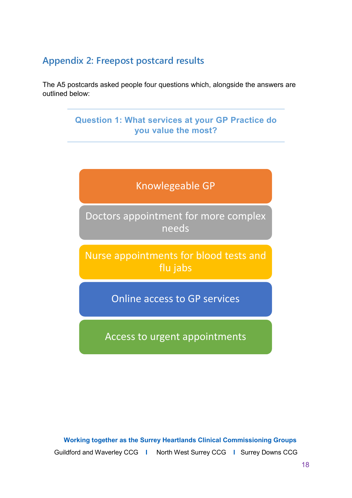# <span id="page-17-0"></span>**Appendix 2: Freepost postcard results**

The A5 postcards asked people four questions which, alongside the answers are outlined below:

# **Question 1: What services at your GP Practice do you value the most?**

# Knowlegeable GP

Doctors appointment for more complex needs

Nurse appointments for blood tests and flu jabs

Online access to GP services

Access to urgent appointments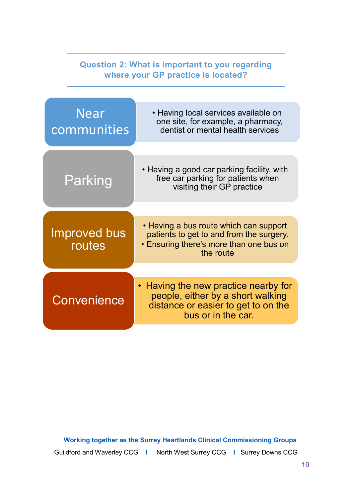| <b>Question 2: What is important to you regarding</b><br>where your GP practice is located? |                                                                                                                                                   |  |  |  |  |  |
|---------------------------------------------------------------------------------------------|---------------------------------------------------------------------------------------------------------------------------------------------------|--|--|--|--|--|
| <b>Near</b><br>communities                                                                  | • Having local services available on<br>one site, for example, a pharmacy,<br>dentist or mental health services                                   |  |  |  |  |  |
| Parking                                                                                     | • Having a good car parking facility, with<br>free car parking for patients when<br>visiting their GP practice                                    |  |  |  |  |  |
| <b>Improved bus</b><br>routes                                                               | • Having a bus route which can support<br>patients to get to and from the surgery.<br><b>• Ensuring there's more than one bus on</b><br>the route |  |  |  |  |  |
| Convenience                                                                                 | • Having the new practice nearby for<br>people, either by a short walking<br>distance or easier to get to on the<br>bus or in the car.            |  |  |  |  |  |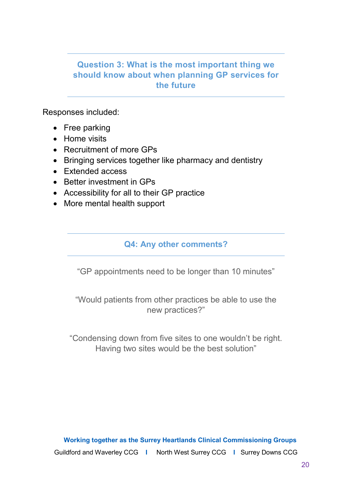# **Question 3: What is the most important thing we should know about when planning GP services for the future**

Responses included:

- Free parking
- Home visits
- Recruitment of more GPs
- Bringing services together like pharmacy and dentistry
- Extended access
- Better investment in GPs
- Accessibility for all to their GP practice
- More mental health support

# **Q4: Any other comments?**

"GP appointments need to be longer than 10 minutes"

"Would patients from other practices be able to use the new practices?"

"Condensing down from five sites to one wouldn't be right. Having two sites would be the best solution"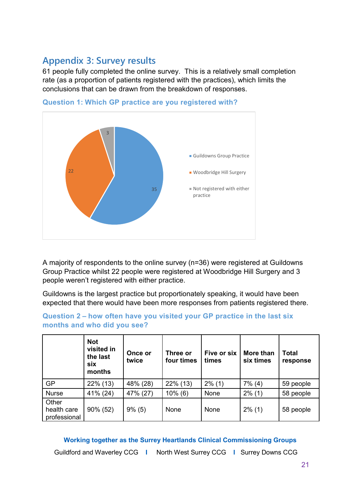# <span id="page-20-0"></span>**Appendix 3: Survey results**

61 people fully completed the online survey. This is a relatively small completion rate (as a proportion of patients registered with the practices), which limits the conclusions that can be drawn from the breakdown of responses.



**Question 1: Which GP practice are you registered with?**

A majority of respondents to the online survey (n=36) were registered at Guildowns Group Practice whilst 22 people were registered at Woodbridge Hill Surgery and 3 people weren't registered with either practice.

Guildowns is the largest practice but proportionately speaking, it would have been expected that there would have been more responses from patients registered there.

|                                      | <b>Not</b><br>visited in<br>the last<br>six<br>months | Once or<br>twice | Three or<br>four times | Five or six<br>times | More than<br>six times | <b>Total</b><br>response |
|--------------------------------------|-------------------------------------------------------|------------------|------------------------|----------------------|------------------------|--------------------------|
| <b>GP</b>                            | 22% (13)                                              | 48% (28)         | $22\%$ (13)            | $2\%$ (1)            | $7\%$ (4)              | 59 people                |
| <b>Nurse</b>                         | 41% (24)                                              | 47% (27)         | $10\%$ (6)             | None                 | $2\%$ (1)              | 58 people                |
| Other<br>health care<br>professional | 90% (52)                                              | $9\%$ (5)        | None                   | None                 | $2\%$ (1)              | 58 people                |

### **Question 2 – how often have you visited your GP practice in the last six months and who did you see?**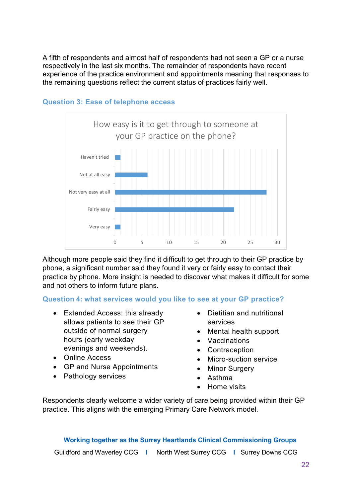A fifth of respondents and almost half of respondents had not seen a GP or a nurse respectively in the last six months. The remainder of respondents have recent experience of the practice environment and appointments meaning that responses to the remaining questions reflect the current status of practices fairly well.



#### **Question 3: Ease of telephone access**

Although more people said they find it difficult to get through to their GP practice by phone, a significant number said they found it very or fairly easy to contact their practice by phone. More insight is needed to discover what makes it difficult for some and not others to inform future plans.

## **Question 4: what services would you like to see at your GP practice?**

- Extended Access: this already allows patients to see their GP outside of normal surgery hours (early weekday evenings and weekends).
- Online Access
- GP and Nurse Appointments
- Pathology services
- Dietitian and nutritional services
- Mental health support
- Vaccinations
- Contraception
- Micro-suction service
- Minor Surgery
- Asthma
- Home visits

Respondents clearly welcome a wider variety of care being provided within their GP practice. This aligns with the emerging Primary Care Network model.

# **Working together as the Surrey Heartlands Clinical Commissioning Groups**

Guildford and Waverley CCG **I** North West Surrey CCG **I** Surrey Downs CCG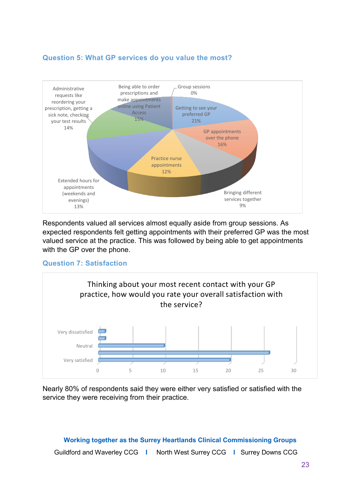## **Question 5: What GP services do you value the most?**



Respondents valued all services almost equally aside from group sessions. As expected respondents felt getting appointments with their preferred GP was the most valued service at the practice. This was followed by being able to get appointments with the GP over the phone.

## **Question 7: Satisfaction**



Nearly 80% of respondents said they were either very satisfied or satisfied with the service they were receiving from their practice.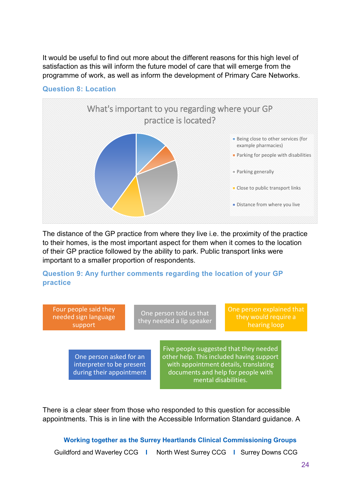It would be useful to find out more about the different reasons for this high level of satisfaction as this will inform the future model of care that will emerge from the programme of work, as well as inform the development of Primary Care Networks.



## **Question 8: Location**

The distance of the GP practice from where they live i.e. the proximity of the practice to their homes, is the most important aspect for them when it comes to the location of their GP practice followed by the ability to park. Public transport links were important to a smaller proportion of respondents.

## **Question 9: Any further comments regarding the location of your GP practice**



There is a clear steer from those who responded to this question for accessible appointments. This is in line with the Accessible Information Standard guidance. A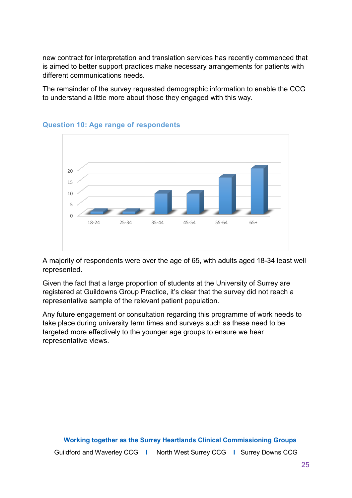new contract for interpretation and translation services has recently commenced that is aimed to better support practices make necessary arrangements for patients with different communications needs.

The remainder of the survey requested demographic information to enable the CCG to understand a little more about those they engaged with this way.



### **Question 10: Age range of respondents**

A majority of respondents were over the age of 65, with adults aged 18-34 least well represented.

Given the fact that a large proportion of students at the University of Surrey are registered at Guildowns Group Practice, it's clear that the survey did not reach a representative sample of the relevant patient population.

Any future engagement or consultation regarding this programme of work needs to take place during university term times and surveys such as these need to be targeted more effectively to the younger age groups to ensure we hear representative views.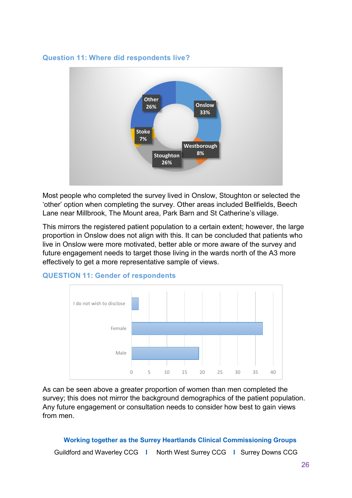#### **Question 11: Where did respondents live?**



Most people who completed the survey lived in Onslow, Stoughton or selected the 'other' option when completing the survey. Other areas included Bellfields, Beech Lane near Millbrook, The Mount area, Park Barn and St Catherine's village.

This mirrors the registered patient population to a certain extent; however, the large proportion in Onslow does not align with this. It can be concluded that patients who live in Onslow were more motivated, better able or more aware of the survey and future engagement needs to target those living in the wards north of the A3 more effectively to get a more representative sample of views.



#### **QUESTION 11: Gender of respondents**

As can be seen above a greater proportion of women than men completed the survey; this does not mirror the background demographics of the patient population. Any future engagement or consultation needs to consider how best to gain views from men.